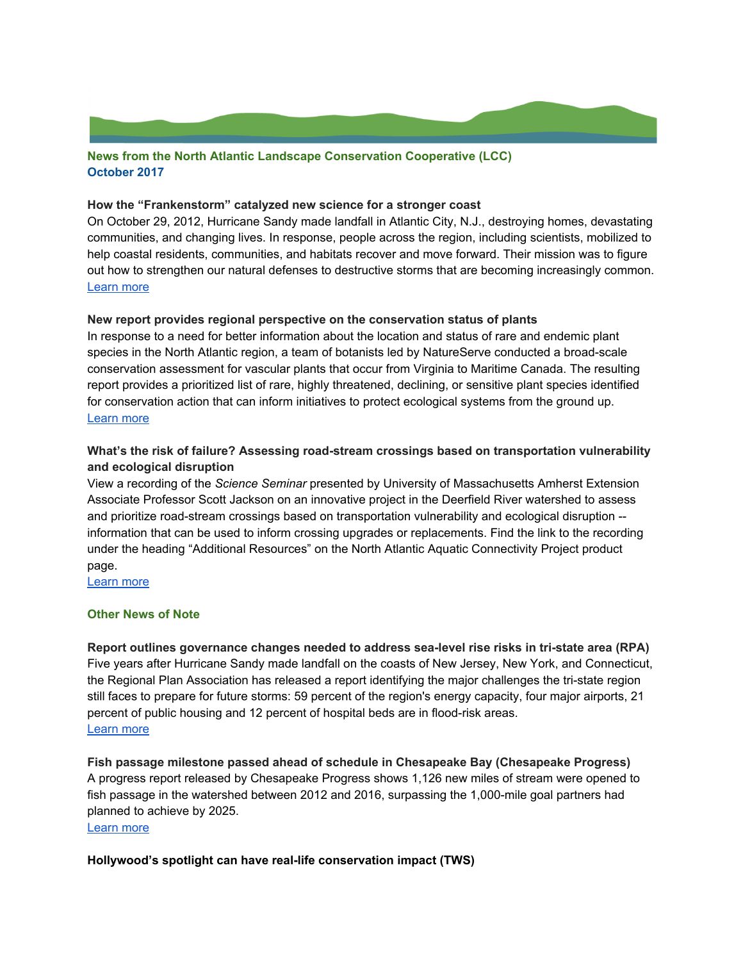## **News from the North Atlantic Landscape Conservation Cooperative (LCC) October 2017**

### **How the "Frankenstorm" catalyzed new science for a stronger coast**

On October 29, 2012, Hurricane Sandy made landfall in Atlantic City, N.J., destroying homes, devastating communities, and changing lives. In response, people across the region, including scientists, mobilized to help coastal residents, communities, and habitats recover and move forward. Their mission was to figure out how to strengthen our natural defenses to destructive storms that are becoming increasingly common. [Learn](https://usfwsnortheast.wordpress.com/2017/10/17/the-science-behind-a-stronger-coast/) more

#### **New report provides regional perspective on the conservation status of plants**

In response to a need for better information about the location and status of rare and endemic plant species in the North Atlantic region, a team of botanists led by NatureServe conducted a broad-scale conservation assessment for vascular plants that occur from Virginia to Maritime Canada. The resulting report provides a prioritized list of rare, highly threatened, declining, or sensitive plant species identified for conservation action that can inform initiatives to protect ecological systems from the ground up. [Learn](http://northatlanticlcc.org/news/all-news/new-resource-provides-regional-perspective-on-conservation-status-of-plants) more

# **What's the risk of failure? Assessing road-stream crossings based on transportation vulnerability and ecological disruption**

View a recording of the *Science Seminar* presented by University of Massachusetts Amherst Extension Associate Professor Scott Jackson on an innovative project in the Deerfield River watershed to assess and prioritize road-stream crossings based on transportation vulnerability and ecological disruption - information that can be used to inform crossing upgrades or replacements. Find the link to the recording under the heading "Additional Resources" on the North Atlantic Aquatic Connectivity Project product page.

[Learn](http://northatlanticlcc.org/products/north-atlantic-aquatic-connectivity-collaborative) more

#### **Other News of Note**

**Report outlines governance changes needed to address sea-level rise risks in tri-state area (RPA)** Five years after Hurricane Sandy made landfall on the coasts of New Jersey, New York, and Connecticut, the Regional Plan Association has released a report identifying the major challenges the tri-state region still faces to prepare for future storms: 59 percent of the region's energy capacity, four major airports, 21 percent of public housing and 12 percent of hospital beds are in flood-risk areas. [Learn](http://www.rpa.org/article/rpa-proposes-formation-of-tri-state-coastal-commission-to-prepare-for-rising-sea-levels) more

**Fish passage milestone passed ahead of schedule in Chesapeake Bay (Chesapeake Progress)** A progress report released by Chesapeake Progress shows 1,126 new miles of stream were opened to fish passage in the watershed between 2012 and 2016, surpassing the 1,000-mile goal partners had planned to achieve by 2025.

[Learn](http://www.chesapeakeprogress.com/abundant-life/fish-passage) more

**Hollywood's spotlight can have real-life conservation impact (TWS)**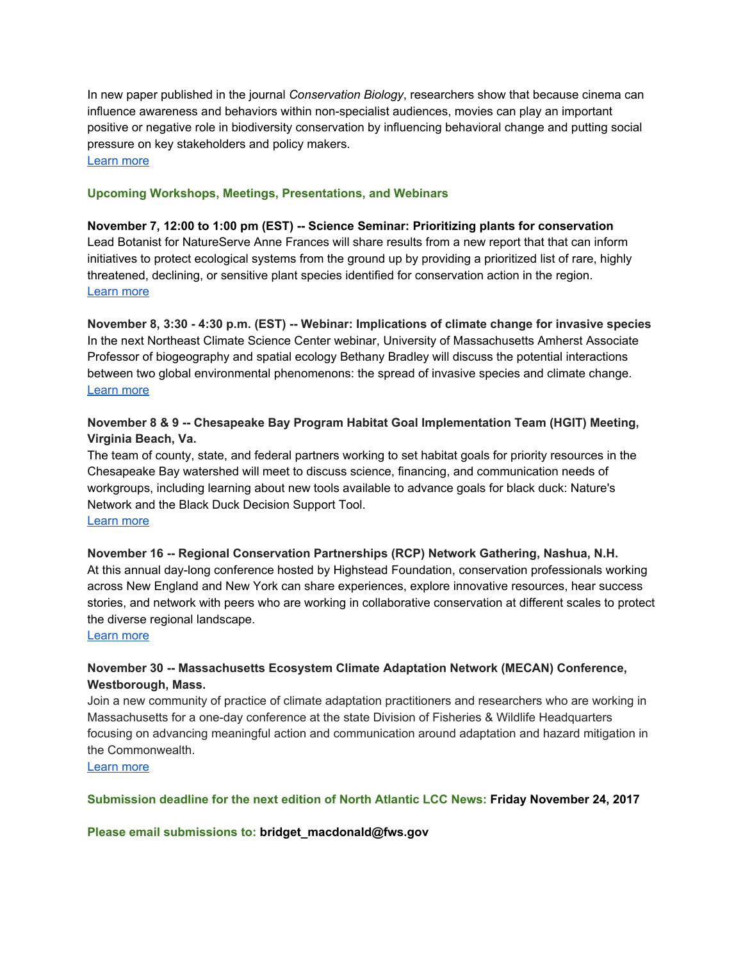In new paper published in the journal *Conservation Biology*, researchers show that because cinema can influence awareness and behaviors within non-specialist audiences, movies can play an important positive or negative role in biodiversity conservation by influencing behavioral change and putting social pressure on key stakeholders and policy makers. [Learn](http://wildlife.org/hollywoods-spotlight-can-have-real-life-conservation-impact/) more

## **Upcoming Workshops, Meetings, Presentations, and Webinars**

**November 7, 12:00 to 1:00 pm (EST) -- Science Seminar: Prioritizing plants for conservation** Lead Botanist for NatureServe Anne Frances will share results from a new report that that can inform initiatives to protect ecological systems from the ground up by providing a prioritized list of rare, highly threatened, declining, or sensitive plant species identified for conservation action in the region. [Learn](http://northatlanticlcc.org/news/science-seminar-prioritizing-rare-highly-threatened-declining-or-sensitive-plant-species-for-conservation) more

**November 8, 3:30 - 4:30 p.m. (EST) -- Webinar: Implications of climate change for invasive species** In the next Northeast Climate Science Center webinar, University of Massachusetts Amherst Associate Professor of biogeography and spatial ecology Bethany Bradley will discuss the potential interactions between two global environmental phenomenons: the spread of invasive species and climate change. [Learn](https://necsc.umass.edu/webinars/implications-climate-change-invasive-species) more

# **November 8 & 9 -- Chesapeake Bay Program Habitat Goal Implementation Team (HGIT) Meeting, Virginia Beach, Va.**

The team of county, state, and federal partners working to set habitat goals for priority resources in the Chesapeake Bay watershed will meet to discuss science, financing, and communication needs of workgroups, including learning about new tools available to advance goals for black duck: Nature's Network and the Black Duck Decision Support Tool. [Learn](https://www.chesapeakebay.net/what/event/habitat_git_fall_2017_meeting) more

**November 16 -- Regional Conservation Partnerships (RCP) Network Gathering, Nashua, N.H.** At this annual day-long conference hosted by Highstead Foundation, conservation professionals working across New England and New York can share experiences, explore innovative resources, hear success stories, and network with peers who are working in collaborative conservation at different scales to protect the diverse regional landscape.

#### [Learn](http://www.wildlandsandwoodlands.org/news/2017-rcp-network-gathering-registration-open) more

# **November 30 -- Massachusetts Ecosystem Climate Adaptation Network (MECAN) Conference, Westborough, Mass.**

Join a new community of practice of climate adaptation practitioners and researchers who are working in Massachusetts for a one-day conference at the state Division of Fisheries & Wildlife Headquarters focusing on advancing meaningful action and communication around adaptation and hazard mitigation in the Commonwealth.

[Learn](https://www.massecan.org/new-events/) more

**Submission deadline for the next edition of North Atlantic LCC News: Friday November 24, 2017**

**Please email submissions to: b ridget\_macdonald@fws.gov**